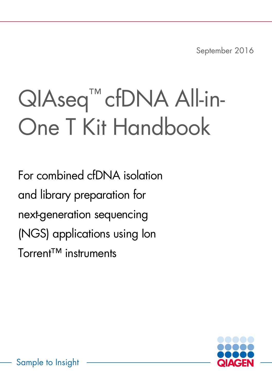September 2016

# QIAseq™ cfDNA All-in-One T Kit Handbook

For combined cfDNA isolation and library preparation for next-generation sequencing (NGS) applications using Ion Torrent™ instruments

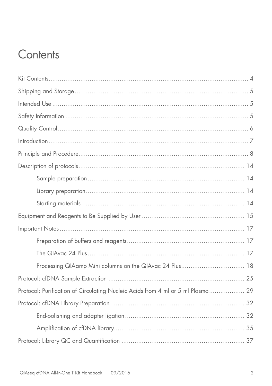# Contents

| Processing QIAamp Mini columns on the QIAvac 24 Plus 18                         |
|---------------------------------------------------------------------------------|
|                                                                                 |
| Protocol: Purification of Circulating Nucleic Acids from 4 ml or 5 ml Plasma 29 |
|                                                                                 |
|                                                                                 |
|                                                                                 |
|                                                                                 |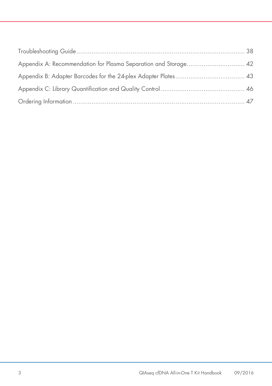<span id="page-2-0"></span>

| Appendix A: Recommendation for Plasma Separation and Storage 42 |  |
|-----------------------------------------------------------------|--|
|                                                                 |  |
|                                                                 |  |
|                                                                 |  |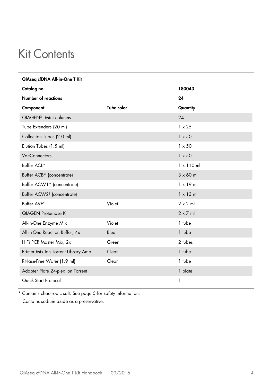# Kit Contents

| QIAseq cfDNA All-in-One T Kit          |            |                   |
|----------------------------------------|------------|-------------------|
| Catalog no.                            |            | 180043            |
| Number of reactions                    |            | 24                |
| Component                              | Tube color | Quantity          |
| QIAGEN <sup>®</sup> Mini columns       |            | 24                |
| Tube Extenders (20 ml)                 |            | $1 \times 25$     |
| Collection Tubes (2.0 ml)              |            | $1 \times 50$     |
| Elution Tubes (1.5 ml)                 |            | $1 \times 50$     |
| <b>VacConnectors</b>                   |            | $1 \times 50$     |
| Buffer ACL*                            |            | $1 \times 110$ ml |
| Buffer ACB* (concentrate)              |            | $3 \times 60$ ml  |
| Buffer ACW1* (concentrate)             |            | $1 \times 19$ ml  |
| Buffer ACW2 <sup>†</sup> (concentrate) |            | $1 \times 13$ ml  |
| Buffer AVE <sup>t</sup>                | Violet     | $2 \times 2$ m    |
| <b>QIAGEN Proteinase K</b>             |            | $2 \times 7$ ml   |
| All-in-One Enzyme Mix                  | Violet     | 1 tube            |
| All-in-One Reaction Buffer, 4x         | Blue       | 1 tube            |
| HiFi PCR Master Mix, 2x                | Green      | 2 tubes           |
| Primer Mix Ion Torrent Library Amp     | Clear      | 1 tube            |
| RNase-Free Water (1.9 ml)              | Clear      | 1 tube            |
| Adapter Plate 24-plex Ion Torrent      |            | 1 plate           |
| Quick-Start Protocol                   |            | 1                 |

\* Contains chaotropic salt. See page 5 for safety information.

† Contains sodium azide as a preservative.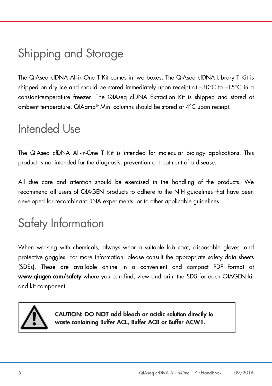# <span id="page-4-0"></span>Shipping and Storage

The QIAseq cfDNA All-in-One T Kit comes in two boxes. The QIAseq cfDNA Library T Kit is shipped on dry ice and should be stored immediately upon receipt at –30°C to –15°C in a constant-temperature freezer. The QIAseq cfDNA Extraction Kit is shipped and stored at ambient temperature. QIAamp® Mini columns should be stored at 4°C upon receipt.

# <span id="page-4-1"></span>Intended Use

The QIAseq cfDNA All-in-One T Kit is intended for molecular biology applications. This product is not intended for the diagnosis, prevention or treatment of a disease.

All due care and attention should be exercised in the handling of the products. We recommend all users of QIAGEN products to adhere to the NIH guidelines that have been developed for recombinant DNA experiments, or to other applicable guidelines.

# <span id="page-4-2"></span>Safety Information

When working with chemicals, always wear a suitable lab coat, disposable gloves, and protective goggles. For more information, please consult the appropriate safety data sheets (SDSs). These are available online in a convenient and compact PDF format at www.qiagen.com/safety where you can find, view and print the SDS for each QIAGEN kit and kit component.



CAUTION: DO NOT add bleach or acidic solution directly to waste containing Buffer ACL, Buffer ACB or Buffer ACW1.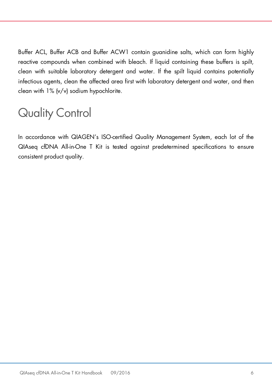Buffer ACL, Buffer ACB and Buffer ACW1 contain guanidine salts, which can form highly reactive compounds when combined with bleach. If liquid containing these buffers is spilt, clean with suitable laboratory detergent and water. If the spilt liquid contains potentially infectious agents, clean the affected area first with laboratory detergent and water, and then clean with 1% (v/v) sodium hypochlorite.

# <span id="page-5-0"></span>Quality Control

In accordance with QIAGEN's ISO-certified Quality Management System, each lot of the QIAseq cfDNA All-in-One T Kit is tested against predetermined specifications to ensure consistent product quality.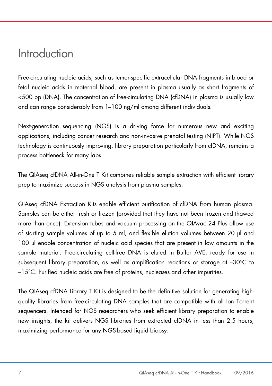# <span id="page-6-0"></span>Introduction

Free-circulating nucleic acids, such as tumor-specific extracellular DNA fragments in blood or fetal nucleic acids in maternal blood, are present in plasma usually as short fragments of <500 bp (DNA). The concentration of free-circulating DNA (cfDNA) in plasma is usually low and can range considerably from 1–100 ng/ml among different individuals.

Next-generation sequencing (NGS) is a driving force for numerous new and exciting applications, including cancer research and non-invasive prenatal testing (NIPT). While NGS technology is continuously improving, library preparation particularly from cfDNA, remains a process bottleneck for many labs.

The QIAseq cfDNA All-in-One T Kit combines reliable sample extraction with efficient library prep to maximize success in NGS analysis from plasma samples.

QIAseq cfDNA Extraction Kits enable efficient purification of cfDNA from human plasma. Samples can be either fresh or frozen (provided that they have not been frozen and thawed more than once). Extension tubes and vacuum processing on the QIAvac 24 Plus allow use of starting sample volumes of up to 5 ml, and flexible elution volumes between 20 µl and 100 µl enable concentration of nucleic acid species that are present in low amounts in the sample material. Free-circulating cell-free DNA is eluted in Buffer AVE, ready for use in subsequent library preparation, as well as amplification reactions or storage at –30°C to –15°C. Purified nucleic acids are free of proteins, nucleases and other impurities.

The QIAseq cfDNA Library T Kit is designed to be the definitive solution for generating highquality libraries from free-circulating DNA samples that are compatible with all Ion Torrent sequencers. Intended for NGS researchers who seek efficient library preparation to enable new insights, the kit delivers NGS libraries from extracted cfDNA in less than 2.5 hours, maximizing performance for any NGS-based liquid biopsy.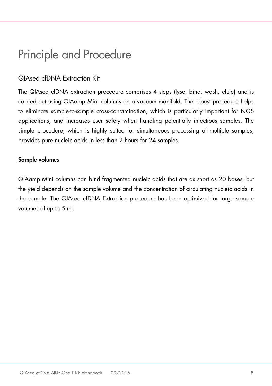# <span id="page-7-0"></span>Principle and Procedure

# QIAseq cfDNA Extraction Kit

The QIAseq cfDNA extraction procedure comprises 4 steps (lyse, bind, wash, elute) and is carried out using QIAamp Mini columns on a vacuum manifold. The robust procedure helps to eliminate sample-to-sample cross-contamination, which is particularly important for NGS applications, and increases user safety when handling potentially infectious samples. The simple procedure, which is highly suited for simultaneous processing of multiple samples, provides pure nucleic acids in less than 2 hours for 24 samples.

### Sample volumes

QIAamp Mini columns can bind fragmented nucleic acids that are as short as 20 bases, but the yield depends on the sample volume and the concentration of circulating nucleic acids in the sample. The QIAseq cfDNA Extraction procedure has been optimized for large sample volumes of up to 5 ml.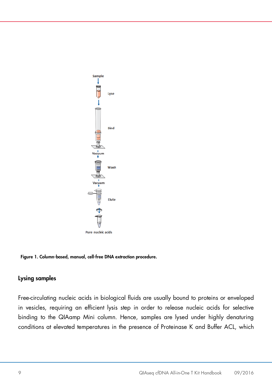

Figure 1. Column-based, manual, cell-free DNA extraction procedure.

### Lysing samples

Free-circulating nucleic acids in biological fluids are usually bound to proteins or enveloped in vesicles, requiring an efficient lysis step in order to release nucleic acids for selective binding to the QIAamp Mini column. Hence, samples are lysed under highly denaturing conditions at elevated temperatures in the presence of Proteinase K and Buffer ACL, which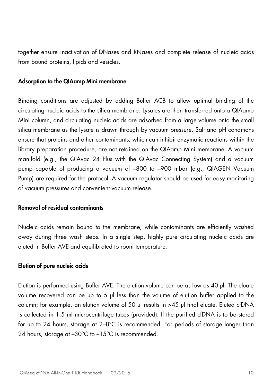together ensure inactivation of DNases and RNases and complete release of nucleic acids from bound proteins, lipids and vesicles.

#### Adsorption to the QIAamp Mini membrane

Binding conditions are adjusted by adding Buffer ACB to allow optimal binding of the circulating nucleic acids to the silica membrane. Lysates are then transferred onto a QIAamp Mini column, and circulating nucleic acids are adsorbed from a large volume onto the small silica membrane as the lysate is drawn through by vacuum pressure. Salt and pH conditions ensure that proteins and other contaminants, which can inhibit enzymatic reactions within the library preparation procedure, are not retained on the QIAamp Mini membrane. A vacuum manifold (e.g., the QIAvac 24 Plus with the QIAvac Connecting System) and a vacuum pump capable of producing a vacuum of –800 to –900 mbar (e.g., QIAGEN Vacuum Pump) are required for the protocol. A vacuum regulator should be used for easy monitoring of vacuum pressures and convenient vacuum release.

### Removal of residual contaminants

Nucleic acids remain bound to the membrane, while contaminants are efficiently washed away during three wash steps. In a single step, highly pure circulating nucleic acids are eluted in Buffer AVE and equilibrated to room temperature.

### Elution of pure nucleic acids

Elution is performed using Buffer AVE. The elution volume can be as low as 40 µl. The eluate volume recovered can be up to 5  $\mu$  less than the volume of elution buffer applied to the column; for example, an elution volume of 50 µl results in >45 µl final eluate. Eluted cfDNA is collected in 1.5 ml microcentrifuge tubes (provided). If the purified cfDNA is to be stored for up to 24 hours, storage at 2–8°C is recommended. For periods of storage longer than 24 hours, storage at –30°C to –15°C is recommended.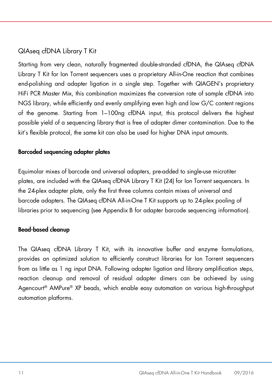# QIAseq cfDNA Library T Kit

Starting from very clean, naturally fragmented double-stranded cfDNA, the QIAseq cfDNA Library T Kit for Ion Torrent sequencers uses a proprietary All-in-One reaction that combines end-polishing and adapter ligation in a single step. Together with QIAGEN's proprietary HiFi PCR Master Mix, this combination maximizes the conversion rate of sample cfDNA into NGS library, while efficiently and evenly amplifying even high and low G/C content regions of the genome. Starting from 1–100ng cfDNA input, this protocol delivers the highest possible yield of a sequencing library that is free of adapter dimer contamination. Due to the kit's flexible protocol, the same kit can also be used for higher DNA input amounts.

### Barcoded sequencing adapter plates

Equimolar mixes of barcode and universal adapters, pre-added to single-use microtiter plates, are included with the QIAseq cfDNA Library T Kit (24) for Ion Torrent sequencers. In the 24-plex adapter plate, only the first three columns contain mixes of universal and barcode adapters. The QIAseq cfDNA All-in-One T Kit supports up to 24-plex pooling of libraries prior to sequencing (see Appendix B for adapter barcode sequencing information).

### Bead-based cleanup

The QIAseq cfDNA Library T Kit, with its innovative buffer and enzyme formulations, provides an optimized solution to efficiently construct libraries for Ion Torrent sequencers from as little as 1 ng input DNA. Following adapter ligation and library amplification steps, reaction cleanup and removal of residual adapter dimers can be achieved by using Agencourt® AMPure® XP beads, which enable easy automation on various high-throughput automation platforms.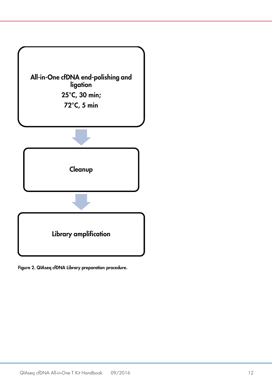

Figure 2. QIAseq cfDNA Library preparation procedure.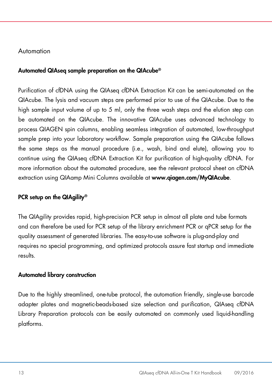### Automation

### Automated QIAseq sample preparation on the QIAcube®

Purification of cfDNA using the QIAseq cfDNA Extraction Kit can be semi-automated on the QIAcube. The lysis and vacuum steps are performed prior to use of the QIAcube. Due to the high sample input volume of up to 5 ml, only the three wash steps and the elution step can be automated on the QIAcube. The innovative QIAcube uses advanced technology to process QIAGEN spin columns, enabling seamless integration of automated, low-throughput sample prep into your laboratory workflow. Sample preparation using the QIAcube follows the same steps as the manual procedure (i.e., wash, bind and elute), allowing you to continue using the QIAseq cfDNA Extraction Kit for purification of high-quality cfDNA. For more information about the automated procedure, see the relevant protocol sheet on cfDNA extraction using QIAamp Mini Columns available at www.giagen.com/MyQIAcube.

### PCR setup on the QIAgility®

The QIAgility provides rapid, high-precision PCR setup in almost all plate and tube formats and can therefore be used for PCR setup of the library enrichment PCR or qPCR setup for the quality assessment of generated libraries. The easy-to-use software is plug-and-play and requires no special programming, and optimized protocols assure fast startup and immediate results.

### Automated library construction

Due to the highly streamlined, one-tube protocol, the automation friendly, single-use barcode adapter plates and magnetic-beads-based size selection and purification, QIAseq cfDNA Library Preparation protocols can be easily automated on commonly used liquid-handling platforms.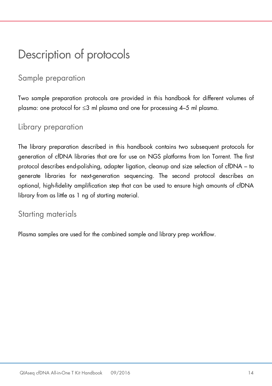# <span id="page-13-0"></span>Description of protocols

# <span id="page-13-1"></span>Sample preparation

Two sample preparation protocols are provided in this handbook for different volumes of plasma: one protocol for ≤3 ml plasma and one for processing 4–5 ml plasma.

# <span id="page-13-2"></span>Library preparation

The library preparation described in this handbook contains two subsequent protocols for generation of cfDNA libraries that are for use on NGS platforms from Ion Torrent. The first protocol describes end-polishing, adapter ligation, cleanup and size selection of cfDNA – to generate libraries for next-generation sequencing. The second protocol describes an optional, high-fidelity amplification step that can be used to ensure high amounts of cfDNA library from as little as 1 ng of starting material.

# <span id="page-13-3"></span>Starting materials

Plasma samples are used for the combined sample and library prep workflow.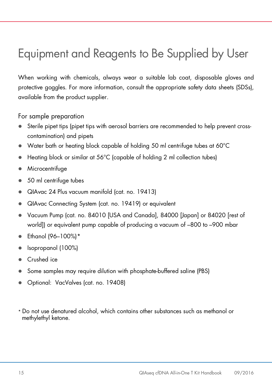# <span id="page-14-0"></span>Equipment and Reagents to Be Supplied by User

When working with chemicals, always wear a suitable lab coat, disposable gloves and protective goggles. For more information, consult the appropriate safety data sheets (SDSs), available from the product supplier.

For sample preparation

- Sterile pipet tips (pipet tips with aerosol barriers are recommended to help prevent crosscontamination) and pipets
- Water bath or heating block capable of holding 50 ml centrifuge tubes at 60°C
- Heating block or similar at 56°C (capable of holding 2 ml collection tubes)
- **•** Microcentrifuge
- 50 ml centrifuge tubes
- QIAvac 24 Plus vacuum manifold (cat. no. 19413)
- QIAvac Connecting System (cat. no. 19419) or equivalent
- Vacuum Pump (cat. no. 84010 [USA and Canada], 84000 [Japan] or 84020 [rest of world]) or equivalent pump capable of producing a vacuum of –800 to –900 mbar
- Ethanol (96–100%)[\\*](#page-14-1)
- Isopropanol (100%)
- Crushed ice
- Some samples may require dilution with phosphate-buffered saline (PBS)
- Optional: VacValves (cat. no. 19408)
- <span id="page-14-1"></span>\* Do not use denatured alcohol, which contains other substances such as methanol or methylethyl ketone.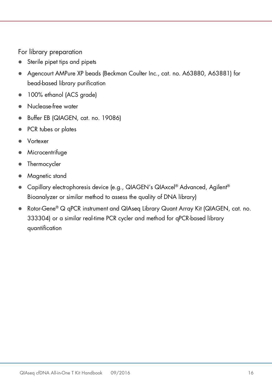For library preparation

- Sterile pipet tips and pipets
- Agencourt AMPure XP beads (Beckman Coulter Inc., cat. no. A63880, A63881) for bead-based library purification
- 100% ethanol (ACS grade)
- Nuclease-free water
- Buffer EB (QIAGEN, cat. no. 19086)
- PCR tubes or plates
- Vortexer
- Microcentrifuge
- Thermocycler
- Magnetic stand
- Capillary electrophoresis device (e.g., QIAGEN's QIAxcel® Advanced, Agilent® Bioanalyzer or similar method to assess the quality of DNA library)
- Rotor-Gene<sup>®</sup> Q qPCR instrument and QIAseq Library Quant Array Kit (QIAGEN, cat. no. 333304) or a similar real-time PCR cycler and method for qPCR-based library quantification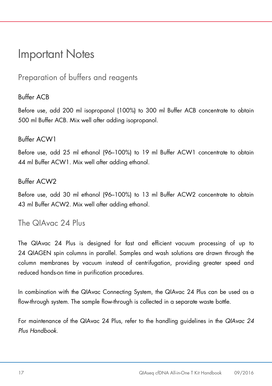# <span id="page-16-0"></span>Important Notes

<span id="page-16-1"></span>Preparation of buffers and reagents

## Buffer ACB

Before use, add 200 ml isopropanol (100%) to 300 ml Buffer ACB concentrate to obtain 500 ml Buffer ACB. Mix well after adding isopropanol.

### Buffer ACW1

Before use, add 25 ml ethanol (96–100%) to 19 ml Buffer ACW1 concentrate to obtain 44 ml Buffer ACW1. Mix well after adding ethanol.

### Buffer ACW2

Before use, add 30 ml ethanol (96–100%) to 13 ml Buffer ACW2 concentrate to obtain 43 ml Buffer ACW2. Mix well after adding ethanol.

# <span id="page-16-2"></span>The QIAvac 24 Plus

The QIAvac 24 Plus is designed for fast and efficient vacuum processing of up to 24 QIAGEN spin columns in parallel. Samples and wash solutions are drawn through the column membranes by vacuum instead of centrifugation, providing greater speed and reduced hands-on time in purification procedures.

In combination with the QIAvac Connecting System, the QIAvac 24 Plus can be used as a flow-through system. The sample flow-through is collected in a separate waste bottle.

For maintenance of the QIAvac 24 Plus, refer to the handling guidelines in the *QIAvac 24 Plus Handbook*.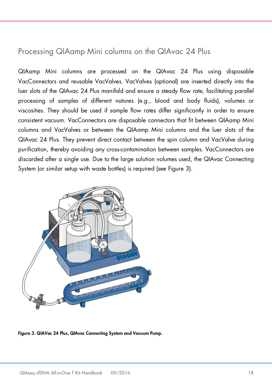# <span id="page-17-0"></span>Processing QIAamp Mini columns on the QIAvac 24 Plus

QIAamp Mini columns are processed on the QIAvac 24 Plus using disposable VacConnectors and reusable VacValves. VacValves (optional) are inserted directly into the luer slots of the QIAvac 24 Plus manifold and ensure a steady flow rate, facilitating parallel processing of samples of different natures (e.g., blood and body fluids), volumes or viscosities. They should be used if sample flow rates differ significantly in order to ensure consistent vacuum. VacConnectors are disposable connectors that fit between QIAamp Mini columns and VacValves or between the QIAamp Mini columns and the luer slots of the QIAvac 24 Plus. They prevent direct contact between the spin column and VacValve during purification, thereby avoiding any cross-contamination between samples. VacConnectors are discarded after a single use. Due to the large solution volumes used, the QIAvac Connecting System (or similar setup with waste bottles) is required (see Figure 3).



Figure 3. QIAVac 24 Plus, QIAvac Connecting System and Vacuum Pump.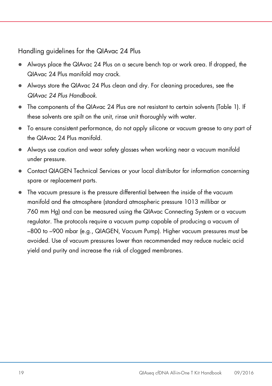Handling guidelines for the QIAvac 24 Plus

- Always place the QIAvac 24 Plus on a secure bench top or work area. If dropped, the QIAvac 24 Plus manifold may crack.
- Always store the QIAvac 24 Plus clean and dry. For cleaning procedures, see the *QIAvac 24 Plus Handbook.*
- The components of the QIAvac 24 Plus are not resistant to certain solvents (Table 1). If these solvents are spilt on the unit, rinse unit thoroughly with water.
- To ensure consistent performance, do not apply silicone or vacuum grease to any part of the QIAvac 24 Plus manifold.
- Always use caution and wear safety glasses when working near a vacuum manifold under pressure.
- Contact QIAGEN Technical Services or your local distributor for information concerning spare or replacement parts.
- The vacuum pressure is the pressure differential between the inside of the vacuum manifold and the atmosphere (standard atmospheric pressure 1013 millibar or 760 mm Hg) and can be measured using the QIAvac Connecting System or a vacuum regulator. The protocols require a vacuum pump capable of producing a vacuum of –800 to –900 mbar (e.g., QIAGEN, Vacuum Pump). Higher vacuum pressures must be avoided. Use of vacuum pressures lower than recommended may reduce nucleic acid yield and purity and increase the risk of clogged membranes.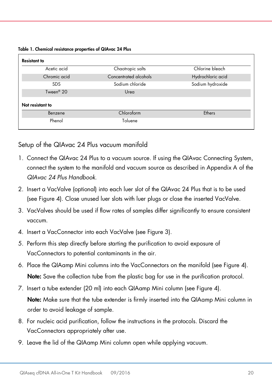Table 1. Chemical resistance properties of QIAvac 24 Plus

| <b>Resistant to</b>   |                       |                   |
|-----------------------|-----------------------|-------------------|
| Acetic acid           | Chaotropic salts      | Chlorine bleach   |
| Chromic acid          | Concentrated alcohols | Hydrochloric acid |
| <b>SDS</b>            | Sodium chloride       | Sodium hydroxide  |
| Tween <sup>®</sup> 20 | Urea                  |                   |
| Not resistant to      |                       |                   |
| Benzene               | Chloroform            | Ethers            |
| Phenol                | Toluene               |                   |

Setup of the QIAvac 24 Plus vacuum manifold

- 1. Connect the QIAvac 24 Plus to a vacuum source. If using the QIAvac Connecting System, connect the system to the manifold and vacuum source as described in Appendix A of the *QIAvac 24 Plus Handbook*.
- 2. Insert a VacValve (optional) into each luer slot of the QIAvac 24 Plus that is to be used (see Figure 4). Close unused luer slots with luer plugs or close the inserted VacValve.
- 3. VacValves should be used if flow rates of samples differ significantly to ensure consistent vaccum.
- 4. Insert a VacConnector into each VacValve (see Figure 3).
- 5. Perform this step directly before starting the purification to avoid exposure of VacConnectors to potential contaminants in the air.
- 6. Place the QIAamp Mini columns into the VacConnectors on the manifold (see Figure 4). Note: Save the collection tube from the plastic bag for use in the purification protocol.
- 7. Insert a tube extender (20 ml) into each QIAamp Mini column (see Figure 4). Note: Make sure that the tube extender is firmly inserted into the QIAamp Mini column in order to avoid leakage of sample.
- 8. For nucleic acid purification, follow the instructions in the protocols. Discard the VacConnectors appropriately after use.
- 9. Leave the lid of the QIAamp Mini column open while applying vacuum.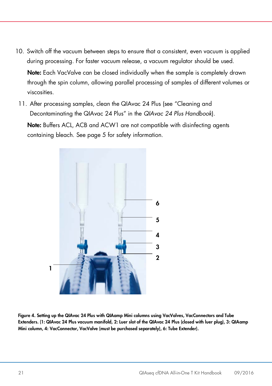- 10. Switch off the vacuum between steps to ensure that a consistent, even vacuum is applied during processing. For faster vacuum release, a vacuum regulator should be used. Note: Each VacValve can be closed individually when the sample is completely drawn through the spin column, allowing parallel processing of samples of different volumes or viscosities.
	- 11. After processing samples, clean the QIAvac 24 Plus (see "Cleaning and Decontaminating the QIAvac 24 Plus" in the *QIAvac 24 Plus Handbook*).

Note: Buffers ACL, ACB and ACW1 are not compatible with disinfecting agents containing bleach. See page 5 for safety information.



Figure 4. Setting up the QIAvac 24 Plus with QIAamp Mini columns using VacValves, VacConnectors and Tube Extenders. (1: QIAvac 24 Plus vacuum manifold, 2: Luer slot of the QIAvac 24 Plus (closed with luer plug), 3: QIAamp Mini column, 4: VacConnector, VacValve (must be purchased separately), 6: Tube Extender).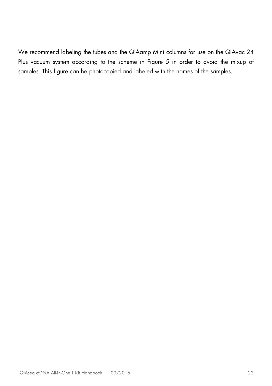We recommend labeling the tubes and the QIAamp Mini columns for use on the QIAvac 24 Plus vacuum system according to the scheme in Figure 5 in order to avoid the mixup of samples. This figure can be photocopied and labeled with the names of the samples.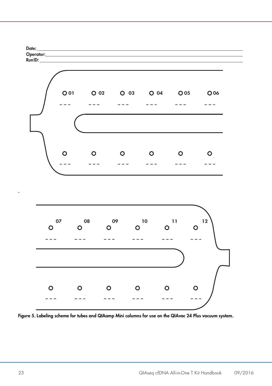

Figure 5. Labeling scheme for tubes and QIAamp Mini columns for use on the QIAvac 24 Plus vacuum system..

.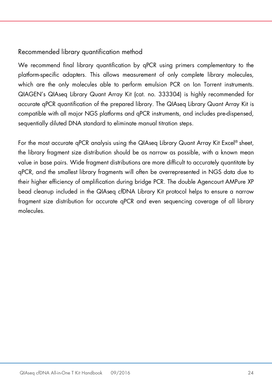### Recommended library quantification method

We recommend final library quantification by qPCR using primers complementary to the platform-specific adapters. This allows measurement of only complete library molecules, which are the only molecules able to perform emulsion PCR on Ion Torrent instruments. QIAGEN's QIAseq Library Quant Array Kit (cat. no. 333304) is highly recommended for accurate qPCR quantification of the prepared library. The QIAseq Library Quant Array Kit is compatible with all major NGS platforms and qPCR instruments, and includes pre-dispensed, sequentially diluted DNA standard to eliminate manual titration steps.

For the most accurate aPCR analysis using the QIAsea Library Quant Array Kit Excel® sheet, the library fragment size distribution should be as narrow as possible, with a known mean value in base pairs. Wide fragment distributions are more difficult to accurately quantitate by qPCR, and the smallest library fragments will often be overrepresented in NGS data due to their higher efficiency of amplification during bridge PCR. The double Agencourt AMPure XP bead cleanup included in the QIAseq cfDNA Library Kit protocol helps to ensure a narrow fragment size distribution for accurate qPCR and even sequencing coverage of all library molecules.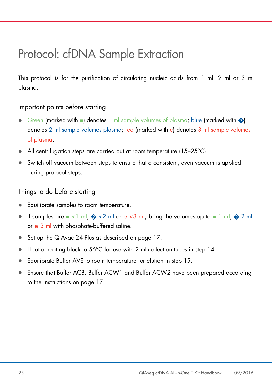# <span id="page-24-0"></span>Protocol: cfDNA Sample Extraction

This protocol is for the purification of circulating nucleic acids from 1 ml, 2 ml or 3 ml plasma.

### Important points before starting

- Green (marked with  $\blacksquare$ ) denotes 1 ml sample volumes of plasma; blue (marked with  $\lozenge$ ) denotes 2 ml sample volumes plasma; red (marked with e) denotes 3 ml sample volumes of plasma.
- All centrifugation steps are carried out at room temperature (15–25°C).
- Switch off vacuum between steps to ensure that a consistent, even vacuum is applied during protocol steps.

Things to do before starting

- Equilibrate samples to room temperature.
- **If samples are**  $\blacksquare$  <1 ml,  $\clubsuit$  <2 ml or e <3 ml, bring the volumes up to  $\blacksquare$  1 ml,  $\clubsuit$  2 ml or e 3 ml with phosphate-buffered saline.
- Set up the QIAvac 24 Plus as described on page 17.
- Heat a heating block to 56°C for use with 2 ml collection tubes in step 14.
- Equilibrate Buffer AVE to room temperature for elution in step 15.
- Ensure that Buffer ACB, Buffer ACW1 and Buffer ACW2 have been prepared according to the instructions on page 17.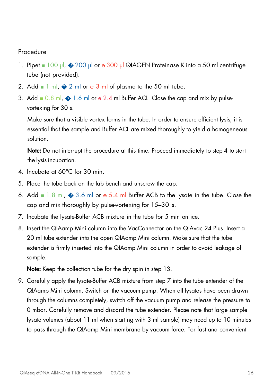### Procedure

- 1. Pipet 100 µl, � 200 µl or e 300 µl QIAGEN Proteinase K into a 50 ml centrifuge tube (not provided).
- 2. Add  $\blacksquare$  1 ml,  $\spadesuit$  2 ml or e 3 ml of plasma to the 50 ml tube.
- 3. Add  $\Box$  0.8 ml,  $\triangle$  1.6 ml or e 2.4 ml Buffer ACL. Close the cap and mix by pulsevortexing for 30 s.

Make sure that a visible vortex forms in the tube. In order to ensure efficient lysis, it is essential that the sample and Buffer ACL are mixed thoroughly to yield a homogeneous solution.

Note: Do not interrupt the procedure at this time. Proceed immediately to step 4 to start the lysis incubation.

- 4. Incubate at 60°C for 30 min.
- 5. Place the tube back on the lab bench and unscrew the cap.
- 6. Add  $\blacksquare$  1.8 ml,  $\clubsuit$  3.6 ml or e 5.4 ml Buffer ACB to the lysate in the tube. Close the cap and mix thoroughly by pulse-vortexing for 15–30 s.
- 7. Incubate the lysate-Buffer ACB mixture in the tube for 5 min on ice.
- 8. Insert the QIAamp Mini column into the VacConnector on the QIAvac 24 Plus. Insert a 20 ml tube extender into the open QIAamp Mini column. Make sure that the tube extender is firmly inserted into the QIAamp Mini column in order to avoid leakage of sample.

Note: Keep the collection tube for the dry spin in step 13.

9. Carefully apply the lysate-Buffer ACB mixture from step 7 into the tube extender of the QIAamp Mini column. Switch on the vacuum pump. When all lysates have been drawn through the columns completely, switch off the vacuum pump and release the pressure to 0 mbar. Carefully remove and discard the tube extender. Please note that large sample lysate volumes (about 11 ml when starting with 3 ml sample) may need up to 10 minutes to pass through the QIAamp Mini membrane by vacuum force. For fast and convenient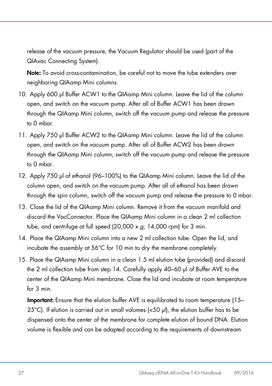release of the vacuum pressure, the Vacuum Regulator should be used (part of the QIAvac Connecting System).

Note: To avoid cross-contamination, be careful not to move the tube extenders over neighboring QIAamp Mini columns.

- 10. Apply 600 µl Buffer ACW1 to the QIAamp Mini column. Leave the lid of the column open, and switch on the vacuum pump. After all of Buffer ACW1 has been drawn through the QIAamp Mini column, switch off the vacuum pump and release the pressure to 0 mbar.
- 11. Apply 750 µl Buffer ACW2 to the QIAamp Mini column. Leave the lid of the column open, and switch on the vacuum pump. After all of Buffer ACW2 has been drawn through the QIAamp Mini column, switch off the vacuum pump and release the pressure to 0 mbar.
- 12. Apply 750 µl of ethanol (96–100%) to the QIAamp Mini column. Leave the lid of the column open, and switch on the vacuum pump. After all of ethanol has been drawn through the spin column, switch off the vacuum pump and release the pressure to 0 mbar.
- 13. Close the lid of the QIAamp Mini column. Remove it from the vacuum manifold and discard the VacConnector. Place the QIAamp Mini column in a clean 2 ml collection tube, and centrifuge at full speed (20,000 x *g*; 14,000 rpm) for 3 min.
- 14. Place the QIAamp Mini column into a new 2 ml collection tube. Open the lid, and incubate the assembly at 56°C for 10 min to dry the membrane completely.
- 15. Place the QIAamp Mini column in a clean 1.5 ml elution tube (provided) and discard the 2 ml collection tube from step 14. Carefully apply 40–60 µl of Buffer AVE to the center of the QIAamp Mini membrane. Close the lid and incubate at room temperature for 3 min.

Important: Ensure that the elution buffer AVE is equilibrated to room temperature (15– 25°C). If elution is carried out in small volumes (<50 µl), the elution buffer has to be dispensed onto the center of the membrane for complete elution of bound DNA. Elution volume is flexible and can be adapted according to the requirements of downstream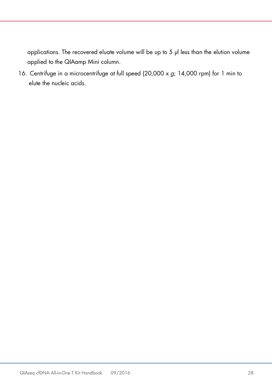applications. The recovered eluate volume will be up to 5 µl less than the elution volume applied to the QIAamp Mini column.

16. Centrifuge in a microcentrifuge at full speed (20,000 x *g*; 14,000 rpm) for 1 min to elute the nucleic acids.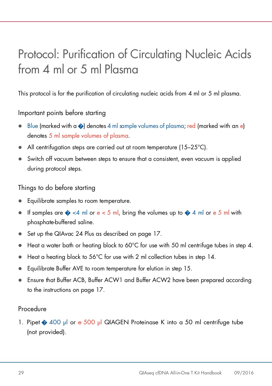# <span id="page-28-0"></span>Protocol: Purification of Circulating Nucleic Acids from 4 ml or 5 ml Plasma

This protocol is for the purification of circulating nucleic acids from 4 ml or 5 ml plasma.

### Important points before starting

- Blue (marked with a  $\odot$ ) denotes 4 ml sample volumes of plasma; red (marked with an e) denotes 5 ml sample volumes of plasma.
- All centrifugation steps are carried out at room temperature (15–25°C).
- Switch off vacuum between steps to ensure that a consistent, even vacuum is applied during protocol steps.

Things to do before starting

- Equilibrate samples to room temperature.
- If samples are  $\diamondsuit$  <4 ml or e < 5 ml, bring the volumes up to  $\diamondsuit$  4 ml or e 5 ml with phosphate-buffered saline.
- Set up the QIAvac 24 Plus as described on page 17.
- Heat a water bath or heating block to 60°C for use with 50 ml centrifuge tubes in step 4.
- Heat a heating block to 56°C for use with 2 ml collection tubes in step 14.
- Equilibrate Buffer AVE to room temperature for elution in step 15.
- Ensure that Buffer ACB, Buffer ACW1 and Buffer ACW2 have been prepared according to the instructions on page 17.

### Procedure

1. Pipet � 400 µl or e 500 µl QIAGEN Proteinase K into a 50 ml centrifuge tube (not provided).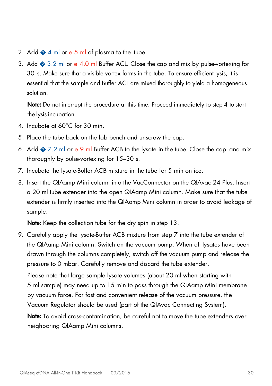- 2. Add  $\bigcirc$  4 ml or e 5 ml of plasma to the tube.
- 3. Add  $\bullet$  3.2 ml or e 4.0 ml Buffer ACL. Close the cap and mix by pulse-vortexing for 30 s. Make sure that a visible vortex forms in the tube. To ensure efficient lysis, it is essential that the sample and Buffer ACL are mixed thoroughly to yield a homogeneous solution.

Note: Do not interrupt the procedure at this time. Proceed immediately to step 4 to start the lysis incubation.

- 4. Incubate at 60°C for 30 min.
- 5. Place the tube back on the lab bench and unscrew the cap.
- 6. Add  $\otimes$  7.2 ml or e 9 ml Buffer ACB to the lysate in the tube. Close the cap and mix thoroughly by pulse-vortexing for 15–30 s.
- 7. Incubate the lysate-Buffer ACB mixture in the tube for 5 min on ice.
- 8. Insert the QIAamp Mini column into the VacConnector on the QIAvac 24 Plus. Insert a 20 ml tube extender into the open QIAamp Mini column. Make sure that the tube extender is firmly inserted into the QIAamp Mini column in order to avoid leakage of sample.

Note: Keep the collection tube for the dry spin in step 13.

9. Carefully apply the lysate-Buffer ACB mixture from step 7 into the tube extender of the QIAamp Mini column. Switch on the vacuum pump. When all lysates have been drawn through the columns completely, switch off the vacuum pump and release the pressure to 0 mbar. Carefully remove and discard the tube extender.

Please note that large sample lysate volumes (about 20 ml when starting with 5 ml sample) may need up to 15 min to pass through the QIAamp Mini membrane by vacuum force. For fast and convenient release of the vacuum pressure, the Vacuum Regulator should be used (part of the QIAvac Connecting System).

Note: To avoid cross-contamination, be careful not to move the tube extenders over neighboring QIAamp Mini columns.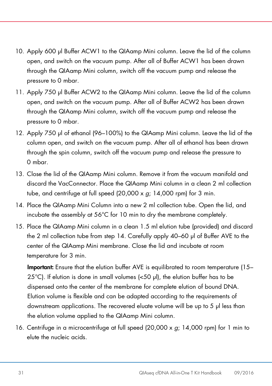- 10. Apply 600 µl Buffer ACW1 to the QIAamp Mini column. Leave the lid of the column open, and switch on the vacuum pump. After all of Buffer ACW1 has been drawn through the QIAamp Mini column, switch off the vacuum pump and release the pressure to 0 mbar.
- 11. Apply 750 µl Buffer ACW2 to the QIAamp Mini column. Leave the lid of the column open, and switch on the vacuum pump. After all of Buffer ACW2 has been drawn through the QIAamp Mini column, switch off the vacuum pump and release the pressure to 0 mbar.
- 12. Apply 750 µl of ethanol (96–100%) to the QIAamp Mini column. Leave the lid of the column open, and switch on the vacuum pump. After all of ethanol has been drawn through the spin column, switch off the vacuum pump and release the pressure to 0 mbar.
- 13. Close the lid of the QIAamp Mini column. Remove it from the vacuum manifold and discard the VacConnector. Place the QIAamp Mini column in a clean 2 ml collection tube, and centrifuge at full speed (20,000 x *g*; 14,000 rpm) for 3 min.
- 14. Place the QIAamp Mini Column into a new 2 ml collection tube. Open the lid, and incubate the assembly at 56°C for 10 min to dry the membrane completely.
- 15. Place the QIAamp Mini column in a clean 1.5 ml elution tube (provided) and discard the 2 ml collection tube from step 14. Carefully apply 40–60 µl of Buffer AVE to the center of the QIAamp Mini membrane. Close the lid and incubate at room temperature for 3 min.

Important: Ensure that the elution buffer AVE is equilibrated to room temperature (15– 25°C). If elution is done in small volumes (<50 µl), the elution buffer has to be dispensed onto the center of the membrane for complete elution of bound DNA. Elution volume is flexible and can be adapted according to the requirements of downstream applications. The recovered eluate volume will be up to 5 µl less than the elution volume applied to the QIAamp Mini column.

16. Centrifuge in a microcentrifuge at full speed (20,000 x *g*; 14,000 rpm) for 1 min to elute the nucleic acids.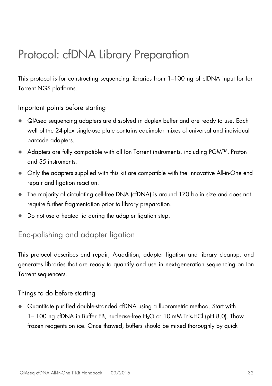# <span id="page-31-0"></span>Protocol: cfDNA Library Preparation

This protocol is for constructing sequencing libraries from 1–100 ng of cfDNA input for Ion Torrent NGS platforms.

Important points before starting

- QIAseq sequencing adapters are dissolved in duplex buffer and are ready to use. Each well of the 24-plex single-use plate contains equimolar mixes of universal and individual barcode adapters.
- Adapters are fully compatible with all Ion Torrent instruments, including PGM™, Proton and S5 instruments.
- Only the adapters supplied with this kit are compatible with the innovative All-in-One end repair and ligation reaction.
- The majority of circulating cell-free DNA (cfDNA) is around 170 bp in size and does not require further fragmentation prior to library preparation.
- Do not use a heated lid during the adapter ligation step.

# <span id="page-31-1"></span>End-polishing and adapter ligation

This protocol describes end repair, A-addition, adapter ligation and library cleanup, and generates libraries that are ready to quantify and use in next-generation sequencing on Ion Torrent sequencers.

Things to do before starting

 Quantitate purified double-stranded cfDNA using a fluorometric method. Start with 1– 100 ng cfDNA in Buffer EB, nuclease-free H2O or 10 mM Tris•HCl (pH 8.0). Thaw frozen reagents on ice. Once thawed, buffers should be mixed thoroughly by quick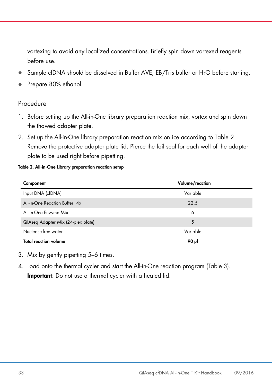vortexing to avoid any localized concentrations. Briefly spin down vortexed reagents before use.

- Sample cfDNA should be dissolved in Buffer AVE, EB/Tris buffer or H<sub>2</sub>O before starting.
- Prepare 80% ethanol.

### Procedure

- 1. Before setting up the All-in-One library preparation reaction mix, vortex and spin down the thawed adapter plate.
- 2. Set up the All-in-One library preparation reaction mix on ice according to Table 2. Remove the protective adapter plate lid. Pierce the foil seal for each well of the adapter plate to be used right before pipetting.

#### Table 2. All-in-One Library preparation reaction setup

| Component                          | Volume/reaction |
|------------------------------------|-----------------|
| Input DNA (cfDNA)                  | Variable        |
| All-in-One Reaction Buffer, 4x     | 22.5            |
| All-in-One Enzyme Mix              | 6               |
| QIAseq Adapter Mix (24-plex plate) | 5               |
| Nuclease-free water                | Variable        |
| <b>Total reaction volume</b>       | ار 90           |

- 3. Mix by gently pipetting 5–6 times.
- 4. Load onto the thermal cycler and start the All-in-One reaction program (Table 3). Important: Do not use a thermal cycler with a heated lid.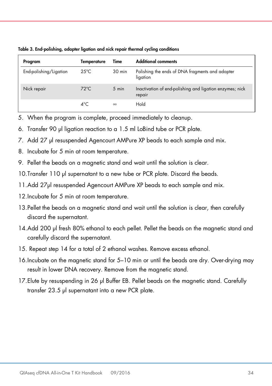| Program                | Temperature    | Time     | <b>Additional comments</b>                                         |
|------------------------|----------------|----------|--------------------------------------------------------------------|
| End-polishing/Ligation | $25^{\circ}$ C | 30 min   | Polishing the ends of DNA fragments and adapter<br>ligation        |
| Nick repair            | $72^{\circ}$ C | 5 min    | Inactivation of end-polishing and ligation enzymes; nick<br>repair |
|                        | $4^{\circ}$ C  | $\infty$ | Hold                                                               |

Table 3. End-polishing, adapter ligation and nick repair thermal cycling conditions

- 5. When the program is complete, proceed immediately to cleanup.
- 6. Transfer 90 µl ligation reaction to a 1.5 ml LoBind tube or PCR plate.
- 7. Add 27 µl resuspended Agencourt AMPure XP beads to each sample and mix.
- 8. Incubate for 5 min at room temperature.
- 9. Pellet the beads on a magnetic stand and wait until the solution is clear.
- 10. Transfer 110 µl supernatant to a new tube or PCR plate. Discard the beads.
- 11.Add 27µl resuspended Agencourt AMPure XP beads to each sample and mix.
- 12. Incubate for 5 min at room temperature.
- 13.Pellet the beads on a magnetic stand and wait until the solution is clear, then carefully discard the supernatant.
- 14.Add 200 µl fresh 80% ethanol to each pellet. Pellet the beads on the magnetic stand and carefully discard the supernatant.
- 15. Repeat step 14 for a total of 2 ethanol washes. Remove excess ethanol.
- 16.Incubate on the magnetic stand for 5–10 min or until the beads are dry. Over-drying may result in lower DNA recovery. Remove from the magnetic stand.
- 17.Elute by resuspending in 26 µl Buffer EB. Pellet beads on the magnetic stand. Carefully transfer 23.5 µl supernatant into a new PCR plate.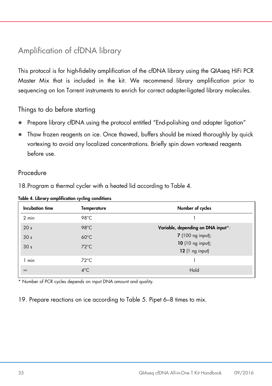# <span id="page-34-0"></span>Amplification of cfDNA library

This protocol is for high-fidelity amplification of the cfDNA library using the QIAseq HiFi PCR Master Mix that is included in the kit. We recommend library amplification prior to sequencing on Ion Torrent instruments to enrich for correct adapter-ligated library molecules.

### Things to do before starting

- Prepare library cfDNA using the protocol entitled "End-polishing and adapter ligation"
- Thaw frozen reagents on ice. Once thawed, buffers should be mixed thoroughly by quick vortexing to avoid any localized concentrations. Briefly spin down vortexed reagents before use.

### Procedure

18.Program a thermal cycler with a heated lid according to Table 4.

| Table 4. Library amplification cycling conditions |  |  |  |
|---------------------------------------------------|--|--|--|
|---------------------------------------------------|--|--|--|

| Incubation time | Temperature    | Number of cycles                    |
|-----------------|----------------|-------------------------------------|
| $2$ min         | 98°C           |                                     |
| 20 <sub>s</sub> | $98^{\circ}$ C | Variable, depending on DNA input*:  |
| 30 <sub>s</sub> | $60^{\circ}$ C | <b>7</b> (100 ng input);            |
| 30 <sub>s</sub> | $72^{\circ}$ C | 10 (10 ng input);<br>12(1 ng input) |
| 1 min           | $72^{\circ}$ C |                                     |
| $\infty$        | $4^{\circ}$ C  | Hold                                |

\* Number of PCR cycles depends on input DNA amount and quality.

19. Prepare reactions on ice according to Table 5. Pipet 6–8 times to mix.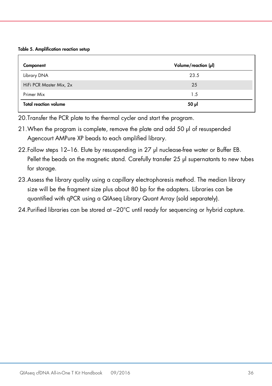Table 5. Amplification reaction setup

| Component                    | Volume/reaction $(\mu I)$ |
|------------------------------|---------------------------|
| Library DNA                  | 23.5                      |
| HiFi PCR Master Mix, 2x      | 25                        |
| Primer Mix                   | 1.5                       |
| <b>Total reaction volume</b> | 50 µl                     |

20.Transfer the PCR plate to the thermal cycler and start the program.

- 21.When the program is complete, remove the plate and add 50 µl of resuspended Agencourt AMPure XP beads to each amplified library.
- 22.Follow steps 12–16. Elute by resuspending in 27 µl nuclease-free water or Buffer EB. Pellet the beads on the magnetic stand. Carefully transfer 25 µl supernatants to new tubes for storage.
- 23.Assess the library quality using a capillary electrophoresis method. The median library size will be the fragment size plus about 80 bp for the adapters. Libraries can be quantified with qPCR using a QIAseq Library Quant Array (sold separately).
- 24.Purified libraries can be stored at –20°C until ready for sequencing or hybrid capture.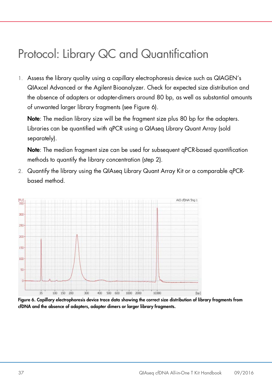# <span id="page-36-0"></span>Protocol: Library QC and Quantification

1. Assess the library quality using a capillary electrophoresis device such as QIAGEN's QIAxcel Advanced or the Agilent Bioanalyzer. Check for expected size distribution and the absence of adapters or adapter-dimers around 80 bp, as well as substantial amounts of unwanted larger library fragments (see Figure 6).

Note: The median library size will be the fragment size plus 80 bp for the adapters. Libraries can be quantified with qPCR using a QIAseq Library Quant Array (sold separately).

Note: The median fragment size can be used for subsequent qPCR-based quantification methods to quantify the library concentration (step 2).

2. Quantify the library using the QIAseq Library Quant Array Kit or a comparable qPCRbased method.



Figure 6. Capillary electrophoresis device trace data showing the correct size distribution of library fragments from cfDNA and the absence of adapters, adapter dimers or larger library fragments.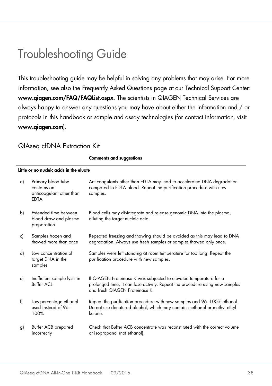# <span id="page-37-0"></span>Troubleshooting Guide

This troubleshooting guide may be helpful in solving any problems that may arise. For more information, see also the Frequently Asked Questions page at our Technical Support Center: www.qiagen.com/FAQ/FAQList.aspx. The scientists in QIAGEN Technical Services are always happy to answer any questions you may have about either the information and / or protocols in this handbook or sample and assay technologies (for contact information, visit [www.qiagen.com](http://www.qiagen.com/)).

### QIAseq cfDNA Extraction Kit

Comments and suggestions

#### Little or no nucleic acids in the eluate

| a) | Primary blood tube<br>contains an<br>anticoagulant other than<br><b>EDTA</b> | Anticoagulants other than EDTA may lead to accelerated DNA degradation<br>compared to EDTA blood. Repeat the purification procedure with new<br>samples.                             |
|----|------------------------------------------------------------------------------|--------------------------------------------------------------------------------------------------------------------------------------------------------------------------------------|
| b) | Extended time between<br>blood draw and plasma<br>preparation                | Blood cells may disintegrate and release genomic DNA into the plasma,<br>diluting the target nucleic acid.                                                                           |
| c) | Samples frozen and<br>thawed more than once                                  | Repeated freezing and thawing should be avoided as this may lead to DNA<br>degradation. Always use fresh samples or samples thawed only once.                                        |
| d) | Low concentration of<br>target DNA in the<br>samples                         | Samples were left standing at room temperature for too long. Repeat the<br>purification procedure with new samples.                                                                  |
| e) | Inefficient sample lysis in<br><b>Buffer ACL</b>                             | If QIAGEN Proteinase K was subjected to elevated temperature for a<br>prolonged time, it can lose activity. Repeat the procedure using new samples<br>and fresh QIAGEN Proteinase K. |
| f) | Low-percentage ethanol<br>used instead of 96-<br>100%                        | Repeat the purification procedure with new samples and 96-100% ethanol.<br>Do not use denatured alcohol, which may contain methanol or methyl ethyl<br>ketone.                       |
| g) | Buffer ACB prepared<br>incorrectly                                           | Check that Buffer ACB concentrate was reconstituted with the correct volume<br>of isopropanol (not ethanol).                                                                         |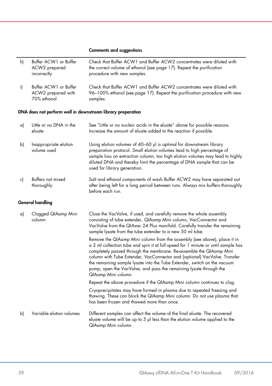#### Comments and suggestions

| h) | Buffer ACW1 or Buffer<br>ACW2 prepared<br>incorrectly       | Check that Buffer ACW1 and Buffer ACW2 concentrates were diluted with<br>the correct volume of ethanol (see page 17). Repeat the purification<br>procedure with new samples.                                                                                                                                                                                                                                                                                                               |
|----|-------------------------------------------------------------|--------------------------------------------------------------------------------------------------------------------------------------------------------------------------------------------------------------------------------------------------------------------------------------------------------------------------------------------------------------------------------------------------------------------------------------------------------------------------------------------|
| i) | Buffer ACW1 or Buffer<br>ACW2 prepared with<br>70% ethanol  | Check that Buffer ACW1 and Buffer ACW2 concentrates were diluted with<br>96-100% ethanol (see page 17). Repeat the purification procedure with new<br>samples.                                                                                                                                                                                                                                                                                                                             |
|    | DNA does not perform well in downstream library preparation |                                                                                                                                                                                                                                                                                                                                                                                                                                                                                            |
| a) | Little or no DNA in the<br>eluate                           | See "Little or no nucleic acids in the eluate" above for possible reasons.<br>Increase the amount of eluate added to the reaction if possible.                                                                                                                                                                                                                                                                                                                                             |
| b) | Inappropriate elution<br>volume used                        | Using elution volumes of 40–60 µl is optimal for downstream library<br>preparation protocol. Small elution volumes lead to high percentage of<br>sample loss on extraction column, too high elution volumes may lead to highly<br>diluted DNA and thereby limit the percentage of DNA sample that can be<br>used for library generation.                                                                                                                                                   |
| c) | Buffers not mixed<br>thoroughly                             | Salt and ethanol components of wash Buffer ACW2 may have separated out<br>after being left for a long period between runs. Always mix buffers thoroughly<br>before each run.                                                                                                                                                                                                                                                                                                               |
|    | <b>General handling</b>                                     |                                                                                                                                                                                                                                                                                                                                                                                                                                                                                            |
| a) | Clogged QIAamp Mini<br>column                               | Close the VacValve, if used, and carefully remove the whole assembly<br>consisting of tube extender, QIAamp Mini column, VacConnector and<br>VacValve from the QIAvac 24 Plus manifold. Carefully transfer the remaining<br>sample lysate from the tube extender to a new 50 ml tube.                                                                                                                                                                                                      |
|    |                                                             | Remove the QIAamp Mini column from the assembly (see above), place it in<br>a 2 ml collection tube and spin it at full speed for 1 minute or until sample has<br>completely passed through the membrane. Re-assemble the QIAamp Mini<br>column with Tube Extender, VacConnector and (optional) VacValve. Transfer<br>the remaining sample lysate into the Tube Extender, switch on the vacuum<br>pump, open the VacValve, and pass the remaining lysate through the<br>QIAamp Mini column. |
|    |                                                             | Repeat the above procedure if the QIAamp Mini column continues to clog.                                                                                                                                                                                                                                                                                                                                                                                                                    |
|    |                                                             | Cryoprecipitates may have formed in plasma due to repeated freezing and<br>thawing. These can block the QIAamp Mini column. Do not use plasma that<br>has been frozen and thawed more than once.                                                                                                                                                                                                                                                                                           |
| b) | Variable elution volumes                                    | Different samples can affect the volume of the final eluate. The recovered<br>eluate volume will be up to 5 µl less than the elution volume applied to the<br>QIAamp Mini column.                                                                                                                                                                                                                                                                                                          |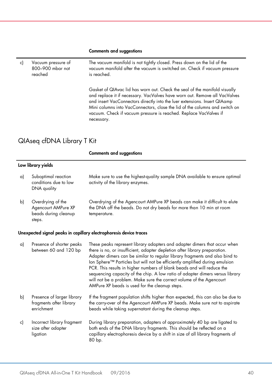### Comments and suggestions

| c) | Vacuum pressure of<br>800-900 mbar not<br>reached                          | The vacuum manifold is not tightly closed. Press down on the lid of the<br>vacuum manifold after the vacuum is switched on. Check if vacuum pressure<br>is reached.                                                                                                                                                                                                                                     |
|----|----------------------------------------------------------------------------|---------------------------------------------------------------------------------------------------------------------------------------------------------------------------------------------------------------------------------------------------------------------------------------------------------------------------------------------------------------------------------------------------------|
|    |                                                                            | Gasket of QIAvac lid has worn out. Check the seal of the manifold visually<br>and replace it if necessary. VacValves have worn out. Remove all VacValves<br>and insert VacConnectors directly into the luer extensions. Insert QIAamp<br>Mini columns into VacConnectors, close the lid of the columns and switch on<br>vacuum. Check if vacuum pressure is reached. Replace VacValves if<br>necessary. |
|    | QIAseq cfDNA Library T Kit                                                 |                                                                                                                                                                                                                                                                                                                                                                                                         |
|    |                                                                            |                                                                                                                                                                                                                                                                                                                                                                                                         |
|    |                                                                            | <b>Comments and suggestions</b>                                                                                                                                                                                                                                                                                                                                                                         |
|    | Low library yields                                                         |                                                                                                                                                                                                                                                                                                                                                                                                         |
| a) | Suboptimal reaction<br>conditions due to low<br>DNA quality                | Make sure to use the highest-quality sample DNA available to ensure optimal<br>activity of the library enzymes.                                                                                                                                                                                                                                                                                         |
| b) | Overdrying of the<br>Agencourt AMPure XP<br>beads during cleanup<br>steps. | Overdrying of the Agencourt AMPure XP beads can make it difficult to elute<br>the DNA off the beads. Do not dry beads for more than 10 min at room<br>temperature.                                                                                                                                                                                                                                      |

| a) | Presence of shorter peaks<br>between 60 and 120 bp                  | These peaks represent library adapters and adapter dimers that occur when<br>there is no, or insufficient, adapter depletion after library preparation.<br>Adapter dimers can be similar to regular library fragments and also bind to<br>lon Sphere™ Particles but will not be efficiently amplified during emulsion<br>PCR. This results in higher numbers of blank beads and will reduce the<br>sequencing capacity of the chip. A low ratio of adapter dimers versus library<br>will not be a problem. Make sure the correct volume of the Agencourt<br>AMPure XP beads is used for the cleanup steps. |
|----|---------------------------------------------------------------------|------------------------------------------------------------------------------------------------------------------------------------------------------------------------------------------------------------------------------------------------------------------------------------------------------------------------------------------------------------------------------------------------------------------------------------------------------------------------------------------------------------------------------------------------------------------------------------------------------------|
| b) | Presence of larger library<br>fragments after library<br>enrichment | If the fragment population shifts higher than expected, this can also be due to<br>the carry-over of the Agencourt AMPure XP beads. Make sure not to aspirate<br>beads while taking supernatant during the cleanup steps.                                                                                                                                                                                                                                                                                                                                                                                  |
| c) | Incorrect library fragment<br>size after adapter<br>ligation        | During library preparation, adapters of approximately 40 bp are ligated to<br>both ends of the DNA library fragments. This should be reflected on a<br>capillary electrophoresis device by a shift in size of all library fragments of<br>80 bp.                                                                                                                                                                                                                                                                                                                                                           |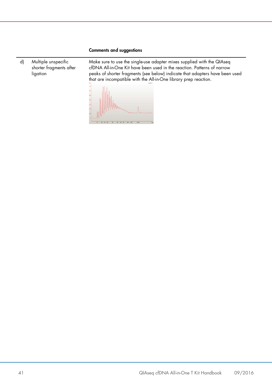#### Comments and suggestions

d) Multiple unspecific shorter fragments after ligation

Make sure to use the single-use adapter mixes supplied with the QIAseq cfDNA All-in-One Kit have been used in the reaction. Patterns of narrow peaks of shorter fragments (see below) indicate that adapters have been used that are incompatible with the All-in-One library prep reaction.

 $1 - 1 - 1$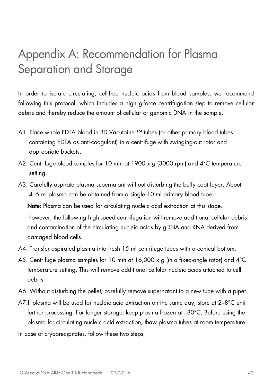# <span id="page-41-0"></span>Appendix A: Recommendation for Plasma Separation and Storage

In order to isolate circulating, cell-free nucleic acids from blood samples, we recommend following this protocol, which includes a high *g*-force centrifugation step to remove cellular debris and thereby reduce the amount of cellular or genomic DNA in the sample.

- A1. Place whole EDTA blood in BD Vacutainer™ tubes (or other primary blood tubes containing EDTA as anti-coagulant) in a centrifuge with swinging-out rotor and appropriate buckets.
- A2. Centrifuge blood samples for 10 min at 1900 x *g* (3000 rpm) and 4°C temperature setting.
- A3. Carefully aspirate plasma supernatant without disturbing the buffy coat layer. About 4–5 ml plasma can be obtained from a single 10 ml primary blood tube.

Note: Plasma can be used for circulating nucleic acid extraction at this stage.

However, the following high-speed centrifugation will remove additional cellular debris and contamination of the circulating nucleic acids by gDNA and RNA derived from damaged blood cells.

- A4. Transfer aspirated plasma into fresh 15 ml centrifuge tubes with a conical bottom.
- A5. Centrifuge plasma samples for 10 min at 16,000 x *g* (in a fixed-angle rotor) and 4°C temperature setting. This will remove additional cellular nucleic acids attached to cell debris.
- A6. Without disturbing the pellet, carefully remove supernatant to a new tube with a pipet.
- A7.If plasma will be used for nucleic acid extraction on the same day, store at 2–8°C until further processing. For longer storage, keep plasma frozen at –80°C. Before using the plasma for circulating nucleic acid extraction, thaw plasma tubes at room temperature.
- In case of cryoprecipitates, follow these two steps: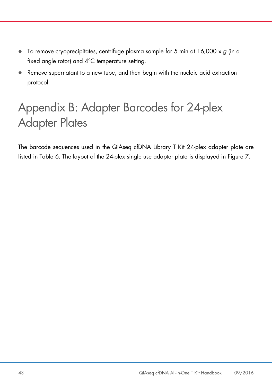- To remove cryoprecipitates, centrifuge plasma sample for 5 min at 16,000 x *g* (in a fixed angle rotor) and 4°C temperature setting.
- Remove supernatant to a new tube, and then begin with the nucleic acid extraction protocol.

# <span id="page-42-0"></span>Appendix B: Adapter Barcodes for 24-plex Adapter Plates

The barcode sequences used in the QIAseq cfDNA Library T Kit 24-plex adapter plate are listed in Table 6. The layout of the 24-plex single use adapter plate is displayed in Figure 7.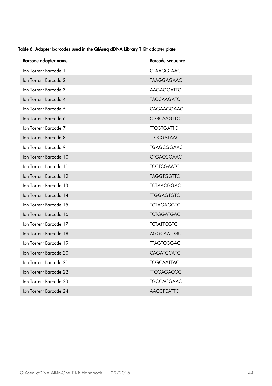| Barcode adapter name   | <b>Barcode sequence</b> |
|------------------------|-------------------------|
| Ion Torrent Barcode 1  | <b>CTAAGGTAAC</b>       |
| Ion Torrent Barcode 2  | <b>TAAGGAGAAC</b>       |
| Ion Torrent Barcode 3  | AAGAGGATTC              |
| Ion Torrent Barcode 4  | <b>TACCAAGATC</b>       |
| Ion Torrent Barcode 5  | CAGAAGGAAC              |
| Ion Torrent Barcode 6  | <b>CTGCAAGTTC</b>       |
| Ion Torrent Barcode 7  | <b>TTCGTGATTC</b>       |
| Ion Torrent Barcode 8  | <b>TTCCGATAAC</b>       |
| Ion Torrent Barcode 9  | <b>TGAGCGGAAC</b>       |
| Ion Torrent Barcode 10 | <b>CTGACCGAAC</b>       |
| Ion Torrent Barcode 11 | <b>TCCTCGAATC</b>       |
| Ion Torrent Barcode 12 | <b>TAGGTGGTTC</b>       |
| Ion Torrent Barcode 13 | <b>TCTAACGGAC</b>       |
| Ion Torrent Barcode 14 | <b>TTGGAGTGTC</b>       |
| Ion Torrent Barcode 15 | <b>TCTAGAGGTC</b>       |
| Ion Torrent Barcode 16 | <b>TCTGGATGAC</b>       |
| Ion Torrent Barcode 17 | <b>TCTATTCGTC</b>       |
| Ion Torrent Barcode 18 | <b>AGGCAATTGC</b>       |
| Ion Torrent Barcode 19 | <b>TTAGTCGGAC</b>       |
| Ion Torrent Barcode 20 | CAGATCCATC              |
| Ion Torrent Barcode 21 | <b>TCGCAATTAC</b>       |
| Ion Torrent Barcode 22 | <b>TTCGAGACGC</b>       |
| Ion Torrent Barcode 23 | <b>TGCCACGAAC</b>       |
| Ion Torrent Barcode 24 | <b>AACCTCATTC</b>       |

Table 6. Adapter barcodes used in the QIAseq cfDNA Library T Kit adapter plate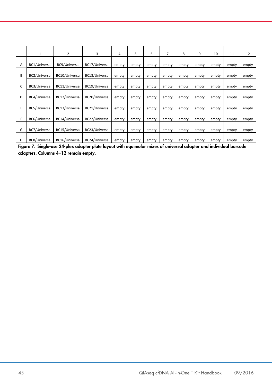|   | 1             | 2              | 3              | 4     | 5     | 6     | 7     | 8     | 9     | 10    | 11    | 12    |
|---|---------------|----------------|----------------|-------|-------|-------|-------|-------|-------|-------|-------|-------|
| Α | BC1/Universal | BC9/Universal  | BC17/Universal | empty | empty | empty | empty | empty | empty | empty | empty | empty |
| В | BC2/Universal | BC10/Universal | BC18/Universal | empty | empty | empty | empty | empty | empty | empty | empty | empty |
| C | BC3/Universal | BC11/Universal | BC19/Universal | empty | empty | empty | empty | empty | empty | empty | empty | empty |
| D | BC4/Universal | BC12/Universal | BC20/Universal | empty | empty | empty | empty | empty | empty | empty | empty | empty |
| E | BC5/Universal | BC13/Universal | BC21/Universal | empty | empty | empty | empty | empty | empty | empty | empty | empty |
| F | BC6/Universal | BC14/Universal | BC22/Universal | empty | empty | empty | empty | empty | empty | empty | empty | empty |
| G | BC7/Universal | BC15/Universal | BC23/Universal | empty | empty | empty | empty | empty | empty | empty | empty | empty |
| н | BC8/Universal | BC16/Universal | BC24/Universal | empty | empty | empty | empty | empty | empty | empty | empty | empty |

Figure 7. Single-use 24-plex adapter plate layout with equimolar mixes of universal adapter and individual barcode adapters. Columns 4–12 remain empty.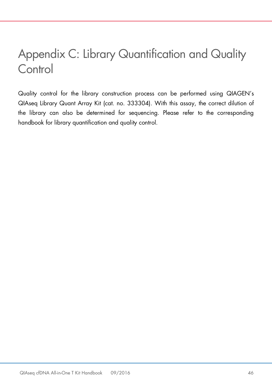# <span id="page-45-0"></span>Appendix C: Library Quantification and Quality **Control**

Quality control for the library construction process can be performed using QIAGEN's QIAseq Library Quant Array Kit (cat. no. 333304). With this assay, the correct dilution of the library can also be determined for sequencing. Please refer to the corresponding handbook for library quantification and quality control.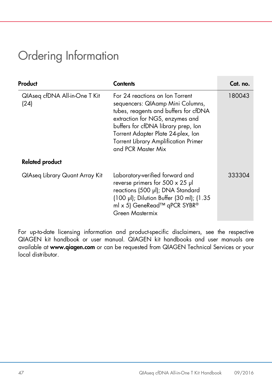# <span id="page-46-0"></span>Ordering Information

| Product                               | Contents                                                                                                                                                                                                                                                                                          | Cat. no. |
|---------------------------------------|---------------------------------------------------------------------------------------------------------------------------------------------------------------------------------------------------------------------------------------------------------------------------------------------------|----------|
| QIAseq cfDNA All-in-One T Kit<br>(24) | For 24 reactions on Ion Torrent<br>sequencers: QIAamp Mini Columns,<br>tubes, reagents and buffers for cfDNA<br>extraction for NGS, enzymes and<br>buffers for cfDNA library prep, lon<br>Torrent Adapter Plate 24-plex, Ion<br><b>Torrent Library Amplification Primer</b><br>and PCR Master Mix | 180043   |
| <b>Related product</b>                |                                                                                                                                                                                                                                                                                                   |          |
| QlAseq Library Quant Array Kit        | Laboratory-verified forward and<br>reverse primers for $500 \times 25$ µl<br>reactions (500 µl); DNA Standard<br>(100 µl); Dilution Buffer (30 ml); (1.35<br>ml x 5) GeneRead™ qPCR SYBR®<br>Green Mastermix                                                                                      | 333304   |

For up-to-date licensing information and product-specific disclaimers, see the respective QIAGEN kit handbook or user manual. QIAGEN kit handbooks and user manuals are available at [www.qiagen.com](http://www.qiagen.com/) or can be requested from QIAGEN Technical Services or your local distributor.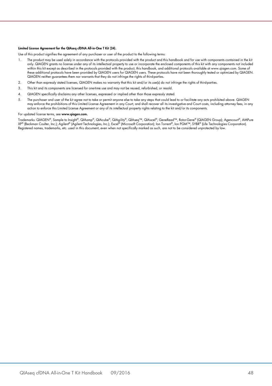#### Limited License Agreement for the QIAseq cfDNA All-in-One T Kit (24).

Use of this product signifies the agreement of any purchaser or user of the product to the following terms:

- 1. The product may be used solely in accordance with the protocols provided with the product and this handbook and for use with components contained in the kit only. QIAGEN grants no license under any of its intellectual property to use or incorporate the enclosed components of this kit with any components not included within this kit except as described in the protocols provided with the product, this handbook, and additional protocols available at www.qiagen.com. Some of these additional protocols have been provided by QIAGEN users tor QIAGEN users. These protocols have not been thoroughly tested or optimized by QIAGEN.<br>QIAGEN neither guarantees them nor warrants that they do not infringe
- 2. Other than expressly stated licenses, QIAGEN makes no warranty that this kit and/or its use(s) do not infringe the rights of third-parties.
- 3. This kit and its components are licensed for one-time use and may not be reused, refurbished, or resold.
- 4. QIAGEN specifically disclaims any other licenses, expressed or implied other than those expressly stated.
- 5. The purchaser and user of the kit agree not to take or permit anyone else to take any steps that could lead to or facilitate any acts prohibited above. QIAGEN may enforce the prohibitions of this Limited License Agreement in any Court, and shall recover all its investigative and Court costs, including attorney fees, in any action to enforce this Limited License Agreement or any of its intellectual property rights relating to the kit and/or its components.

#### For updated license terms, see [www.qiagen.com.](http://www.qiagen.com/)

Trademarks: QIAGEN®, Sample to Insight®, QIAamp®, QIAcube®, QIAgility®, QIAseq™, QIAxcel®, GeneRead™, Rotor-Gene® (QIAGEN Group); Agencourt®, AMPure XP® (Beckman Coulter, Inc.); Agilent® (Agilent Technologies, Inc.); Excel® (Microsoft Corporation); Ion Torrent®, Ion PGM™, SYBR® (Life Technologies Corporation). Registered names, trademarks, etc. used in this document, even when not specifically marked as such, are not to be considered unprotected by law.